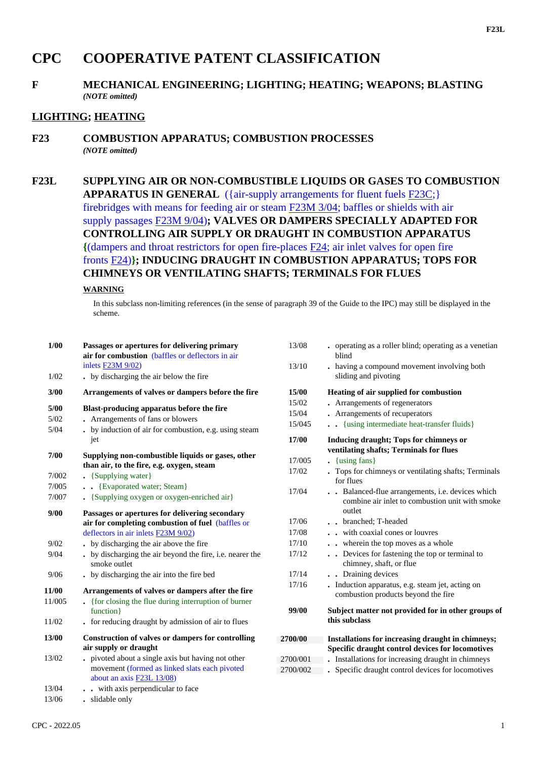# **CPC COOPERATIVE PATENT CLASSIFICATION**

#### **F MECHANICAL ENGINEERING; LIGHTING; HEATING; WEAPONS; BLASTING** *(NOTE omitted)*

### **LIGHTING; HEATING**

#### **F23 COMBUSTION APPARATUS; COMBUSTION PROCESSES** *(NOTE omitted)*

## **F23L SUPPLYING AIR OR NON-COMBUSTIBLE LIQUIDS OR GASES TO COMBUSTION APPARATUS IN GENERAL** ({air-supply arrangements for fluent fuels F23C;} firebridges with means for feeding air or steam F23M 3/04; baffles or shields with air supply passages F23M 9/04)**; VALVES OR DAMPERS SPECIALLY ADAPTED FOR CONTROLLING AIR SUPPLY OR DRAUGHT IN COMBUSTION APPARATUS {**(dampers and throat restrictors for open fire-places F24; air inlet valves for open fire fronts F24)**}; INDUCING DRAUGHT IN COMBUSTION APPARATUS; TOPS FOR CHIMNEYS OR VENTILATING SHAFTS; TERMINALS FOR FLUES**

#### **WARNING**

In this subclass non-limiting references (in the sense of paragraph 39 of the Guide to the IPC) may still be displayed in the scheme.

| 1/00   | Passages or apertures for delivering primary<br>air for combustion (baffles or deflectors in air                                           |
|--------|--------------------------------------------------------------------------------------------------------------------------------------------|
|        | inlets F23M 9/02)                                                                                                                          |
| 1/02   | . by discharging the air below the fire                                                                                                    |
| 3/00   | Arrangements of valves or dampers before the fire                                                                                          |
| 5/00   | Blast-producing apparatus before the fire                                                                                                  |
| 5/02   | Arrangements of fans or blowers                                                                                                            |
| 5/04   | . by induction of air for combustion, e.g. using steam<br>jet                                                                              |
| 7/00   | Supplying non-combustible liquids or gases, other<br>than air, to the fire, e.g. oxygen, steam                                             |
| 7/002  | • {Supplying water}                                                                                                                        |
| 7/005  | . . {Evaporated water; Steam}                                                                                                              |
| 7/007  | • {Supplying oxygen or oxygen-enriched air}                                                                                                |
| 9/00   | Passages or apertures for delivering secondary<br>air for completing combustion of fuel (baffles or<br>deflectors in air inlets F23M 9/02) |
| 9/02   | . by discharging the air above the fire                                                                                                    |
| 9/04   | . by discharging the air beyond the fire, i.e. nearer the<br>smoke outlet                                                                  |
| 9/06   | . by discharging the air into the fire bed                                                                                                 |
| 11/00  | Arrangements of valves or dampers after the fire                                                                                           |
| 11/005 | {for closing the flue during interruption of burner<br>function }                                                                          |
| 11/02  | . for reducing draught by admission of air to flues                                                                                        |
| 13/00  | <b>Construction of valves or dampers for controlling</b><br>air supply or draught                                                          |
| 13/02  | pivoted about a single axis but having not other<br>movement (formed as linked slats each pivoted<br>about an axis F23L 13/08)             |
| 13/04  | with axis perpendicular to face                                                                                                            |

13/06 **.** slidable only

| 13/08    | operating as a roller blind; operating as a venetian<br>blind                                                          |
|----------|------------------------------------------------------------------------------------------------------------------------|
| 13/10    | having a compound movement involving both<br>sliding and pivoting                                                      |
| 15/00    | Heating of air supplied for combustion                                                                                 |
| 15/02    | Arrangements of regenerators                                                                                           |
| 15/04    | • Arrangements of recuperators                                                                                         |
| 15/045   | . {using intermediate heat-transfer fluids}                                                                            |
| 17/00    | <b>Inducing draught; Tops for chimneys or</b><br>ventilating shafts; Terminals for flues                               |
| 17/005   | {using fans}                                                                                                           |
| 17/02    | . Tops for chimneys or ventilating shafts; Terminals<br>for flues                                                      |
| 17/04    | Balanced-flue arrangements, i.e. devices which<br>$\cdot$<br>combine air inlet to combustion unit with smoke<br>outlet |
| 17/06    | . . branched; T-headed                                                                                                 |
| 17/08    | with coaxial cones or louvres                                                                                          |
| 17/10    | wherein the top moves as a whole                                                                                       |
| 17/12    | Devices for fastening the top or terminal to<br>$\ddot{\phantom{a}}$<br>chimney, shaft, or flue                        |
| 17/14    | Draining devices                                                                                                       |
| 17/16    | Induction apparatus, e.g. steam jet, acting on<br>combustion products beyond the fire                                  |
| 99/00    | Subject matter not provided for in other groups of<br>this subclass                                                    |
| 2700/00  | Installations for increasing draught in chimneys;                                                                      |
|          | Specific draught control devices for locomotives                                                                       |
| 2700/001 | Installations for increasing draught in chimneys                                                                       |
| 2700/002 | . Specific draught control devices for locomotives                                                                     |